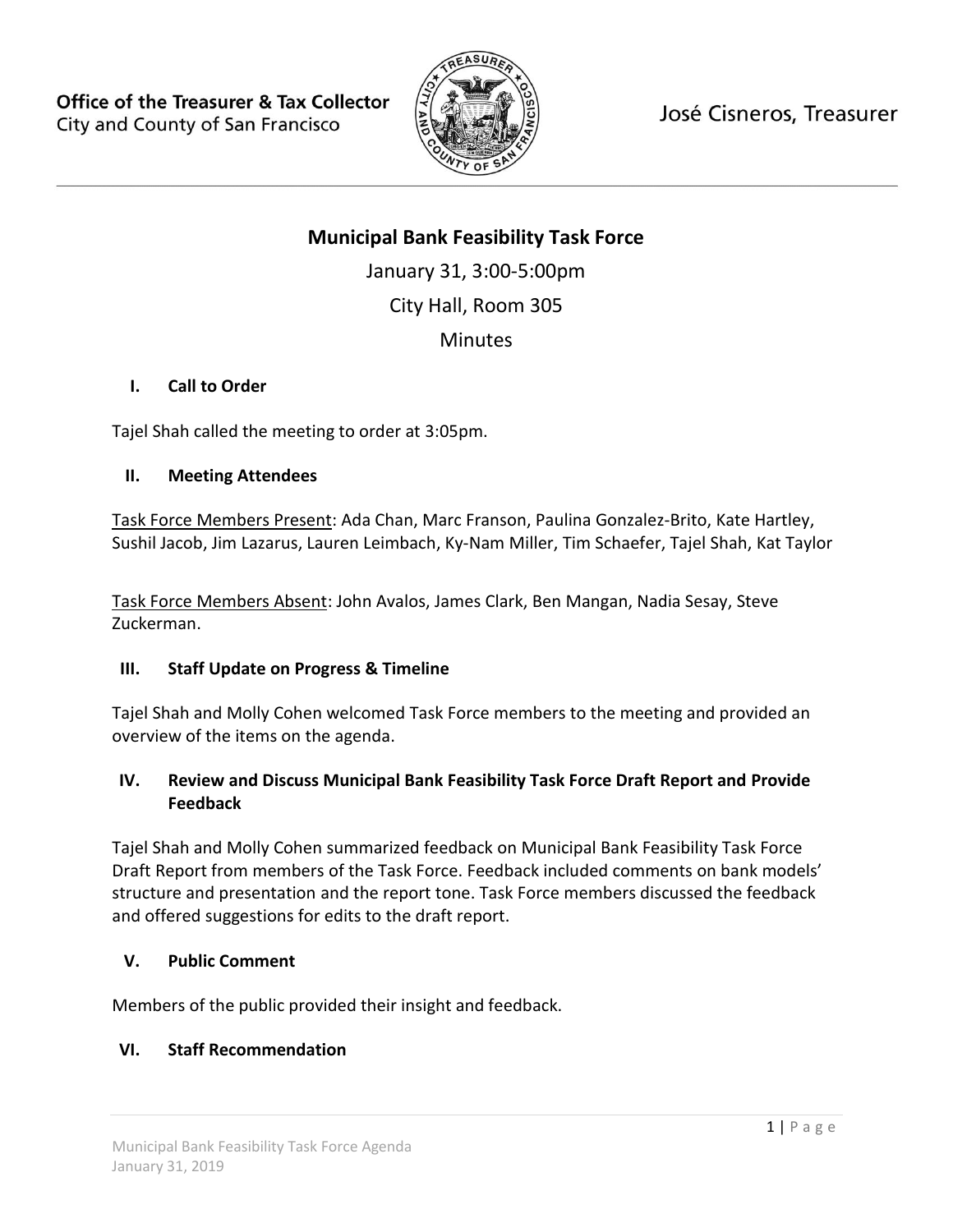

José Cisneros, Treasurer

# **Municipal Bank Feasibility Task Force**

January 31, 3:00-5:00pm City Hall, Room 305 **Minutes** 

### **I. Call to Order**

Tajel Shah called the meeting to order at 3:05pm.

### **II. Meeting Attendees**

Task Force Members Present: Ada Chan, Marc Franson, Paulina Gonzalez-Brito, Kate Hartley, Sushil Jacob, Jim Lazarus, Lauren Leimbach, Ky-Nam Miller, Tim Schaefer, Tajel Shah, Kat Taylor

Task Force Members Absent: John Avalos, James Clark, Ben Mangan, Nadia Sesay, Steve Zuckerman.

### **III. Staff Update on Progress & Timeline**

Tajel Shah and Molly Cohen welcomed Task Force members to the meeting and provided an overview of the items on the agenda.

## **IV. Review and Discuss Municipal Bank Feasibility Task Force Draft Report and Provide Feedback**

Tajel Shah and Molly Cohen summarized feedback on Municipal Bank Feasibility Task Force Draft Report from members of the Task Force. Feedback included comments on bank models' structure and presentation and the report tone. Task Force members discussed the feedback and offered suggestions for edits to the draft report.

### **V. Public Comment**

Members of the public provided their insight and feedback.

## **VI. Staff Recommendation**